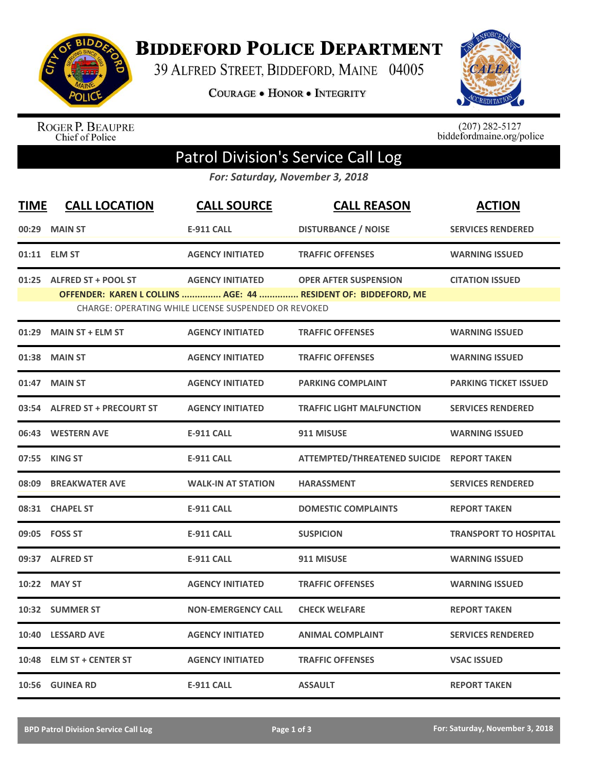

**BIDDEFORD POLICE DEPARTMENT** 

39 ALFRED STREET, BIDDEFORD, MAINE 04005

**COURAGE . HONOR . INTEGRITY** 



ROGER P. BEAUPRE<br>Chief of Police

 $(207)$  282-5127<br>biddefordmaine.org/police

## Patrol Division's Service Call Log

*For: Saturday, November 3, 2018*

| <b>TIME</b> | <b>CALL LOCATION</b>          | <b>CALL SOURCE</b>                                   | <b>CALL REASON</b>                                             | <b>ACTION</b>                |
|-------------|-------------------------------|------------------------------------------------------|----------------------------------------------------------------|------------------------------|
|             | 00:29 MAIN ST                 | <b>E-911 CALL</b>                                    | <b>DISTURBANCE / NOISE</b>                                     | <b>SERVICES RENDERED</b>     |
|             | 01:11 ELM ST                  | <b>AGENCY INITIATED</b>                              | <b>TRAFFIC OFFENSES</b>                                        | <b>WARNING ISSUED</b>        |
|             | 01:25 ALFRED ST + POOL ST     | <b>AGENCY INITIATED</b>                              | <b>OPER AFTER SUSPENSION</b>                                   | <b>CITATION ISSUED</b>       |
|             |                               | CHARGE: OPERATING WHILE LICENSE SUSPENDED OR REVOKED | OFFENDER: KAREN L COLLINS  AGE: 44  RESIDENT OF: BIDDEFORD, ME |                              |
| 01:29       | <b>MAIN ST + ELM ST</b>       | <b>AGENCY INITIATED</b>                              | <b>TRAFFIC OFFENSES</b>                                        | <b>WARNING ISSUED</b>        |
| 01:38       | <b>MAIN ST</b>                | <b>AGENCY INITIATED</b>                              | <b>TRAFFIC OFFENSES</b>                                        | <b>WARNING ISSUED</b>        |
| 01:47       | <b>MAIN ST</b>                | <b>AGENCY INITIATED</b>                              | <b>PARKING COMPLAINT</b>                                       | <b>PARKING TICKET ISSUED</b> |
|             | 03:54 ALFRED ST + PRECOURT ST | <b>AGENCY INITIATED</b>                              | <b>TRAFFIC LIGHT MALFUNCTION</b>                               | <b>SERVICES RENDERED</b>     |
|             | 06:43 WESTERN AVE             | <b>E-911 CALL</b>                                    | 911 MISUSE                                                     | <b>WARNING ISSUED</b>        |
|             | 07:55 KING ST                 | <b>E-911 CALL</b>                                    | ATTEMPTED/THREATENED SUICIDE REPORT TAKEN                      |                              |
| 08:09       | <b>BREAKWATER AVE</b>         | <b>WALK-IN AT STATION</b>                            | <b>HARASSMENT</b>                                              | <b>SERVICES RENDERED</b>     |
|             | 08:31 CHAPEL ST               | <b>E-911 CALL</b>                                    | <b>DOMESTIC COMPLAINTS</b>                                     | <b>REPORT TAKEN</b>          |
|             | 09:05 FOSS ST                 | <b>E-911 CALL</b>                                    | <b>SUSPICION</b>                                               | <b>TRANSPORT TO HOSPITAL</b> |
|             | 09:37 ALFRED ST               | <b>E-911 CALL</b>                                    | 911 MISUSE                                                     | <b>WARNING ISSUED</b>        |
|             | 10:22 MAY ST                  | <b>AGENCY INITIATED</b>                              | <b>TRAFFIC OFFENSES</b>                                        | <b>WARNING ISSUED</b>        |
|             | 10:32 SUMMER ST               | <b>NON-EMERGENCY CALL</b>                            | <b>CHECK WELFARE</b>                                           | <b>REPORT TAKEN</b>          |
| 10:40       | <b>LESSARD AVE</b>            | <b>AGENCY INITIATED</b>                              | <b>ANIMAL COMPLAINT</b>                                        | <b>SERVICES RENDERED</b>     |
| 10:48       | <b>ELM ST + CENTER ST</b>     | <b>AGENCY INITIATED</b>                              | <b>TRAFFIC OFFENSES</b>                                        | <b>VSAC ISSUED</b>           |
|             | 10:56 GUINEA RD               | <b>E-911 CALL</b>                                    | <b>ASSAULT</b>                                                 | <b>REPORT TAKEN</b>          |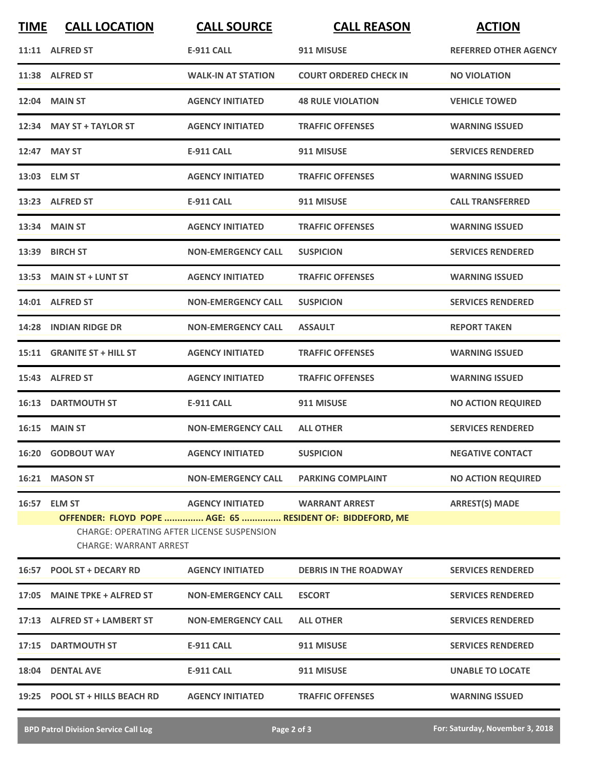| <b>TIME</b> | <b>CALL LOCATION</b>                                                                                                                     | <b>CALL SOURCE</b>        | <b>CALL REASON</b>            | <b>ACTION</b>                |  |
|-------------|------------------------------------------------------------------------------------------------------------------------------------------|---------------------------|-------------------------------|------------------------------|--|
|             | 11:11 ALFRED ST                                                                                                                          | <b>E-911 CALL</b>         | 911 MISUSE                    | <b>REFERRED OTHER AGENCY</b> |  |
|             | 11:38 ALFRED ST                                                                                                                          | <b>WALK-IN AT STATION</b> | <b>COURT ORDERED CHECK IN</b> | <b>NO VIOLATION</b>          |  |
|             | 12:04 MAIN ST                                                                                                                            | <b>AGENCY INITIATED</b>   | <b>48 RULE VIOLATION</b>      | <b>VEHICLE TOWED</b>         |  |
|             | 12:34 MAY ST + TAYLOR ST                                                                                                                 | <b>AGENCY INITIATED</b>   | <b>TRAFFIC OFFENSES</b>       | <b>WARNING ISSUED</b>        |  |
|             | 12:47 MAY ST                                                                                                                             | <b>E-911 CALL</b>         | 911 MISUSE                    | <b>SERVICES RENDERED</b>     |  |
|             | 13:03 ELM ST                                                                                                                             | <b>AGENCY INITIATED</b>   | <b>TRAFFIC OFFENSES</b>       | <b>WARNING ISSUED</b>        |  |
|             | 13:23 ALFRED ST                                                                                                                          | <b>E-911 CALL</b>         | 911 MISUSE                    | <b>CALL TRANSFERRED</b>      |  |
|             | 13:34 MAIN ST                                                                                                                            | <b>AGENCY INITIATED</b>   | <b>TRAFFIC OFFENSES</b>       | <b>WARNING ISSUED</b>        |  |
|             | 13:39 BIRCH ST                                                                                                                           | <b>NON-EMERGENCY CALL</b> | <b>SUSPICION</b>              | <b>SERVICES RENDERED</b>     |  |
|             | 13:53 MAIN ST + LUNT ST                                                                                                                  | <b>AGENCY INITIATED</b>   | <b>TRAFFIC OFFENSES</b>       | <b>WARNING ISSUED</b>        |  |
|             | 14:01 ALFRED ST                                                                                                                          | <b>NON-EMERGENCY CALL</b> | <b>SUSPICION</b>              | <b>SERVICES RENDERED</b>     |  |
|             | 14:28 INDIAN RIDGE DR                                                                                                                    | <b>NON-EMERGENCY CALL</b> | <b>ASSAULT</b>                | <b>REPORT TAKEN</b>          |  |
|             | 15:11 GRANITE ST + HILL ST                                                                                                               | <b>AGENCY INITIATED</b>   | <b>TRAFFIC OFFENSES</b>       | <b>WARNING ISSUED</b>        |  |
|             | 15:43 ALFRED ST                                                                                                                          | <b>AGENCY INITIATED</b>   | <b>TRAFFIC OFFENSES</b>       | <b>WARNING ISSUED</b>        |  |
|             | <b>16:13 DARTMOUTH ST</b>                                                                                                                | <b>E-911 CALL</b>         | 911 MISUSE                    | <b>NO ACTION REQUIRED</b>    |  |
|             | <b>16:15 MAIN ST</b>                                                                                                                     | <b>NON-EMERGENCY CALL</b> | <b>ALL OTHER</b>              | <b>SERVICES RENDERED</b>     |  |
|             | 16:20 GODBOUT WAY                                                                                                                        | <b>AGENCY INITIATED</b>   | <b>SUSPICION</b>              | <b>NEGATIVE CONTACT</b>      |  |
|             | 16:21 MASON ST                                                                                                                           | <b>NON-EMERGENCY CALL</b> | <b>PARKING COMPLAINT</b>      | <b>NO ACTION REQUIRED</b>    |  |
|             | 16:57 ELM ST                                                                                                                             | <b>AGENCY INITIATED</b>   | <b>WARRANT ARREST</b>         | <b>ARREST(S) MADE</b>        |  |
|             | OFFENDER: FLOYD POPE  AGE: 65  RESIDENT OF: BIDDEFORD, ME<br><b>CHARGE: OPERATING AFTER LICENSE SUSPENSION</b><br>CHARGE: WARRANT ARREST |                           |                               |                              |  |
|             | 16:57 POOL ST + DECARY RD                                                                                                                | <b>AGENCY INITIATED</b>   | <b>DEBRIS IN THE ROADWAY</b>  | <b>SERVICES RENDERED</b>     |  |
|             | 17:05 MAINE TPKE + ALFRED ST                                                                                                             | <b>NON-EMERGENCY CALL</b> | <b>ESCORT</b>                 | <b>SERVICES RENDERED</b>     |  |
|             | 17:13 ALFRED ST + LAMBERT ST                                                                                                             | <b>NON-EMERGENCY CALL</b> | <b>ALL OTHER</b>              | <b>SERVICES RENDERED</b>     |  |
|             | 17:15 DARTMOUTH ST                                                                                                                       | <b>E-911 CALL</b>         | 911 MISUSE                    | <b>SERVICES RENDERED</b>     |  |
|             | 18:04 DENTAL AVE                                                                                                                         | <b>E-911 CALL</b>         | 911 MISUSE                    | <b>UNABLE TO LOCATE</b>      |  |
|             | 19:25 POOL ST + HILLS BEACH RD                                                                                                           | <b>AGENCY INITIATED</b>   | <b>TRAFFIC OFFENSES</b>       | <b>WARNING ISSUED</b>        |  |